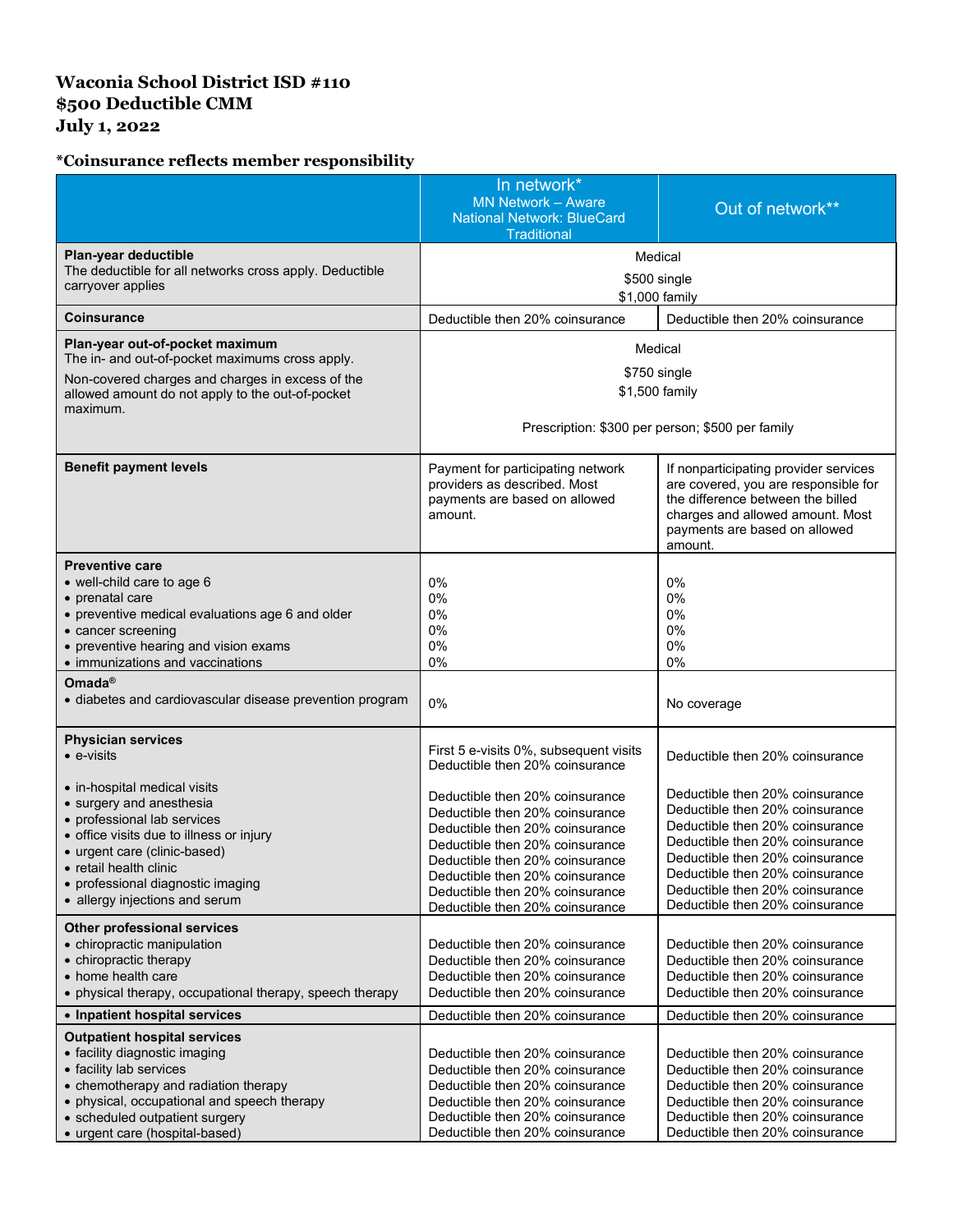## **Waconia School District ISD #110 \$500 Deductible CMM July 1, 2022**

## **\*Coinsurance reflects member responsibility**

|                                                                                                                                                                                                                                                                      | In network*<br><b>MN Network - Aware</b><br><b>National Network: BlueCard</b><br>Traditional                                                                                                                                                                                         | Out of network**                                                                                                                                                                                                                                                                     |
|----------------------------------------------------------------------------------------------------------------------------------------------------------------------------------------------------------------------------------------------------------------------|--------------------------------------------------------------------------------------------------------------------------------------------------------------------------------------------------------------------------------------------------------------------------------------|--------------------------------------------------------------------------------------------------------------------------------------------------------------------------------------------------------------------------------------------------------------------------------------|
| Plan-year deductible<br>The deductible for all networks cross apply. Deductible<br>carryover applies                                                                                                                                                                 | Medical<br>\$500 single<br>\$1,000 family                                                                                                                                                                                                                                            |                                                                                                                                                                                                                                                                                      |
| <b>Coinsurance</b>                                                                                                                                                                                                                                                   | Deductible then 20% coinsurance                                                                                                                                                                                                                                                      | Deductible then 20% coinsurance                                                                                                                                                                                                                                                      |
| Plan-year out-of-pocket maximum<br>The in- and out-of-pocket maximums cross apply.<br>Non-covered charges and charges in excess of the<br>allowed amount do not apply to the out-of-pocket<br>maximum.                                                               | Medical<br>\$750 single<br>\$1,500 family<br>Prescription: \$300 per person; \$500 per family                                                                                                                                                                                        |                                                                                                                                                                                                                                                                                      |
| <b>Benefit payment levels</b>                                                                                                                                                                                                                                        | Payment for participating network<br>providers as described. Most<br>payments are based on allowed<br>amount.                                                                                                                                                                        | If nonparticipating provider services<br>are covered, you are responsible for<br>the difference between the billed<br>charges and allowed amount. Most<br>payments are based on allowed<br>amount.                                                                                   |
| <b>Preventive care</b><br>• well-child care to age 6<br>• prenatal care<br>• preventive medical evaluations age 6 and older<br>• cancer screening<br>• preventive hearing and vision exams<br>• immunizations and vaccinations                                       | 0%<br>0%<br>0%<br>0%<br>0%<br>0%                                                                                                                                                                                                                                                     | 0%<br>0%<br>0%<br>0%<br>0%<br>0%                                                                                                                                                                                                                                                     |
| Omada®<br>· diabetes and cardiovascular disease prevention program                                                                                                                                                                                                   | 0%                                                                                                                                                                                                                                                                                   | No coverage                                                                                                                                                                                                                                                                          |
| <b>Physician services</b><br>$\bullet$ e-visits                                                                                                                                                                                                                      | First 5 e-visits 0%, subsequent visits<br>Deductible then 20% coinsurance                                                                                                                                                                                                            | Deductible then 20% coinsurance                                                                                                                                                                                                                                                      |
| • in-hospital medical visits<br>• surgery and anesthesia<br>• professional lab services<br>• office visits due to illness or injury<br>• urgent care (clinic-based)<br>• retail health clinic<br>• professional diagnostic imaging<br>• allergy injections and serum | Deductible then 20% coinsurance<br>Deductible then 20% coinsurance<br>Deductible then 20% coinsurance<br>Deductible then 20% coinsurance<br>Deductible then 20% coinsurance<br>Deductible then 20% coinsurance<br>Deductible then 20% coinsurance<br>Deductible then 20% coinsurance | Deductible then 20% coinsurance<br>Deductible then 20% coinsurance<br>Deductible then 20% coinsurance<br>Deductible then 20% coinsurance<br>Deductible then 20% coinsurance<br>Deductible then 20% coinsurance<br>Deductible then 20% coinsurance<br>Deductible then 20% coinsurance |
| <b>Other professional services</b><br>• chiropractic manipulation<br>• chiropractic therapy<br>• home health care<br>• physical therapy, occupational therapy, speech therapy                                                                                        | Deductible then 20% coinsurance<br>Deductible then 20% coinsurance<br>Deductible then 20% coinsurance<br>Deductible then 20% coinsurance                                                                                                                                             | Deductible then 20% coinsurance<br>Deductible then 20% coinsurance<br>Deductible then 20% coinsurance<br>Deductible then 20% coinsurance                                                                                                                                             |
| • Inpatient hospital services                                                                                                                                                                                                                                        | Deductible then 20% coinsurance                                                                                                                                                                                                                                                      | Deductible then 20% coinsurance                                                                                                                                                                                                                                                      |
| <b>Outpatient hospital services</b><br>• facility diagnostic imaging<br>• facility lab services<br>• chemotherapy and radiation therapy<br>• physical, occupational and speech therapy<br>• scheduled outpatient surgery<br>• urgent care (hospital-based)           | Deductible then 20% coinsurance<br>Deductible then 20% coinsurance<br>Deductible then 20% coinsurance<br>Deductible then 20% coinsurance<br>Deductible then 20% coinsurance<br>Deductible then 20% coinsurance                                                                       | Deductible then 20% coinsurance<br>Deductible then 20% coinsurance<br>Deductible then 20% coinsurance<br>Deductible then 20% coinsurance<br>Deductible then 20% coinsurance<br>Deductible then 20% coinsurance                                                                       |